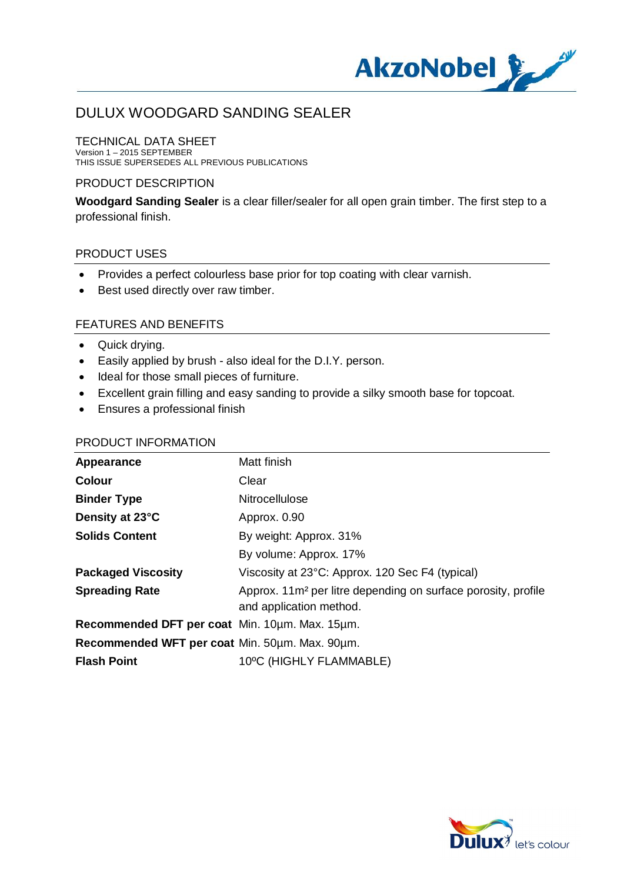

## TECHNICAL DATA SHEET

Version 1 – 2015 SEPTEMBER THIS ISSUE SUPERSEDES ALL PREVIOUS PUBLICATIONS

## PRODUCT DESCRIPTION

**Woodgard Sanding Sealer** is a clear filler/sealer for all open grain timber. The first step to a professional finish.

#### PRODUCT USES

- · Provides a perfect colourless base prior for top coating with clear varnish.
- · Best used directly over raw timber.

## FEATURES AND BENEFITS

- · Quick drying.
- · Easily applied by brush also ideal for the D.I.Y. person.
- · Ideal for those small pieces of furniture.
- · Excellent grain filling and easy sanding to provide a silky smooth base for topcoat.
- · Ensures a professional finish

## PRODUCT INFORMATION

| Appearance                                     | Matt finish                                                                                          |
|------------------------------------------------|------------------------------------------------------------------------------------------------------|
| <b>Colour</b>                                  | Clear                                                                                                |
| <b>Binder Type</b>                             | Nitrocellulose                                                                                       |
| Density at 23°C                                | Approx. 0.90                                                                                         |
| <b>Solids Content</b>                          | By weight: Approx. 31%                                                                               |
|                                                | By volume: Approx. 17%                                                                               |
| <b>Packaged Viscosity</b>                      | Viscosity at 23°C: Approx. 120 Sec F4 (typical)                                                      |
| <b>Spreading Rate</b>                          | Approx. 11m <sup>2</sup> per litre depending on surface porosity, profile<br>and application method. |
| Recommended DFT per coat Min. 10um. Max. 15um. |                                                                                                      |
| Recommended WFT per coat Min. 50um. Max. 90um. |                                                                                                      |
| <b>Flash Point</b>                             | 10°C (HIGHLY FLAMMABLE)                                                                              |

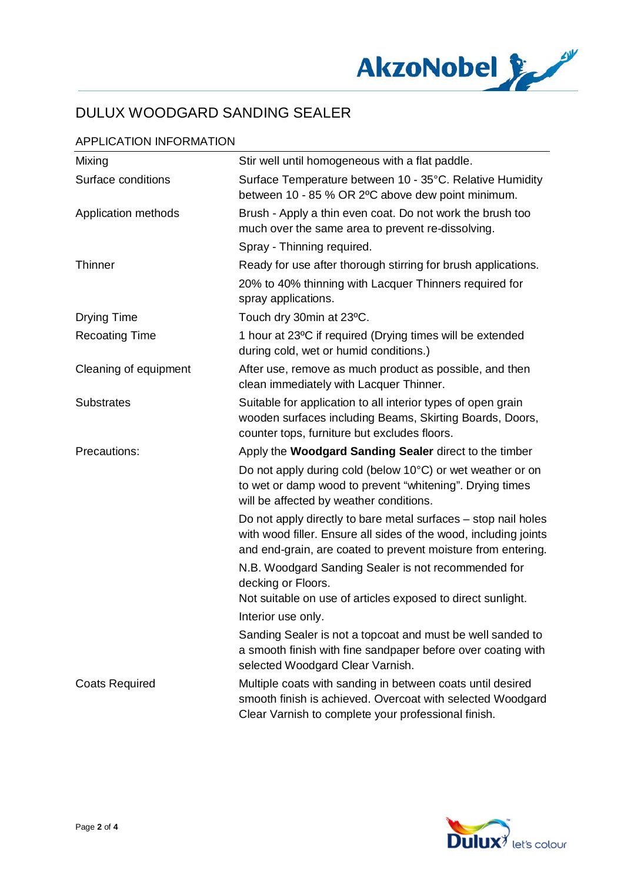

## APPLICATION INFORMATION

| Mixing                | Stir well until homogeneous with a flat paddle.                                                                                                                                                    |
|-----------------------|----------------------------------------------------------------------------------------------------------------------------------------------------------------------------------------------------|
| Surface conditions    | Surface Temperature between 10 - 35°C. Relative Humidity<br>between 10 - 85 % OR 2°C above dew point minimum.                                                                                      |
| Application methods   | Brush - Apply a thin even coat. Do not work the brush too<br>much over the same area to prevent re-dissolving.                                                                                     |
|                       | Spray - Thinning required.                                                                                                                                                                         |
| Thinner               | Ready for use after thorough stirring for brush applications.                                                                                                                                      |
|                       | 20% to 40% thinning with Lacquer Thinners required for<br>spray applications.                                                                                                                      |
| <b>Drying Time</b>    | Touch dry 30min at 23°C.                                                                                                                                                                           |
| <b>Recoating Time</b> | 1 hour at 23°C if required (Drying times will be extended<br>during cold, wet or humid conditions.)                                                                                                |
| Cleaning of equipment | After use, remove as much product as possible, and then<br>clean immediately with Lacquer Thinner.                                                                                                 |
| <b>Substrates</b>     | Suitable for application to all interior types of open grain<br>wooden surfaces including Beams, Skirting Boards, Doors,<br>counter tops, furniture but excludes floors.                           |
| Precautions:          | Apply the Woodgard Sanding Sealer direct to the timber                                                                                                                                             |
|                       | Do not apply during cold (below 10°C) or wet weather or on<br>to wet or damp wood to prevent "whitening". Drying times<br>will be affected by weather conditions.                                  |
|                       | Do not apply directly to bare metal surfaces – stop nail holes<br>with wood filler. Ensure all sides of the wood, including joints<br>and end-grain, are coated to prevent moisture from entering. |
|                       | N.B. Woodgard Sanding Sealer is not recommended for<br>decking or Floors.<br>Not suitable on use of articles exposed to direct sunlight.                                                           |
|                       | Interior use only.                                                                                                                                                                                 |
|                       | Sanding Sealer is not a topcoat and must be well sanded to<br>a smooth finish with fine sandpaper before over coating with<br>selected Woodgard Clear Varnish.                                     |
| <b>Coats Required</b> | Multiple coats with sanding in between coats until desired<br>smooth finish is achieved. Overcoat with selected Woodgard<br>Clear Varnish to complete your professional finish.                    |

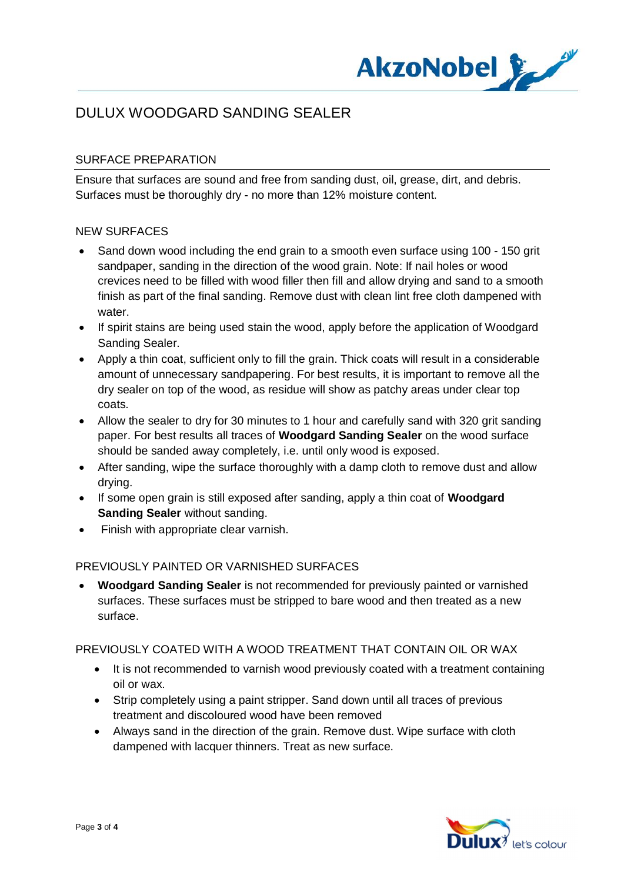

## SURFACE PREPARATION

Ensure that surfaces are sound and free from sanding dust, oil, grease, dirt, and debris. Surfaces must be thoroughly dry - no more than 12% moisture content.

## NEW SURFACES

- Sand down wood including the end grain to a smooth even surface using 100 150 grit sandpaper, sanding in the direction of the wood grain. Note: If nail holes or wood crevices need to be filled with wood filler then fill and allow drying and sand to a smooth finish as part of the final sanding. Remove dust with clean lint free cloth dampened with water.
- · If spirit stains are being used stain the wood, apply before the application of Woodgard Sanding Sealer.
- · Apply a thin coat, sufficient only to fill the grain. Thick coats will result in a considerable amount of unnecessary sandpapering. For best results, it is important to remove all the dry sealer on top of the wood, as residue will show as patchy areas under clear top coats.
- Allow the sealer to dry for 30 minutes to 1 hour and carefully sand with 320 grit sanding paper. For best results all traces of **Woodgard Sanding Sealer** on the wood surface should be sanded away completely, i.e. until only wood is exposed.
- After sanding, wipe the surface thoroughly with a damp cloth to remove dust and allow drying.
- · If some open grain is still exposed after sanding, apply a thin coat of **Woodgard Sanding Sealer** without sanding.
- · Finish with appropriate clear varnish.

## PREVIOUSLY PAINTED OR VARNISHED SURFACES

· **Woodgard Sanding Sealer** is not recommended for previously painted or varnished surfaces. These surfaces must be stripped to bare wood and then treated as a new surface.

## PREVIOUSLY COATED WITH A WOOD TREATMENT THAT CONTAIN OIL OR WAX

- · It is not recommended to varnish wood previously coated with a treatment containing oil or wax.
- · Strip completely using a paint stripper. Sand down until all traces of previous treatment and discoloured wood have been removed
- · Always sand in the direction of the grain. Remove dust. Wipe surface with cloth dampened with lacquer thinners. Treat as new surface.